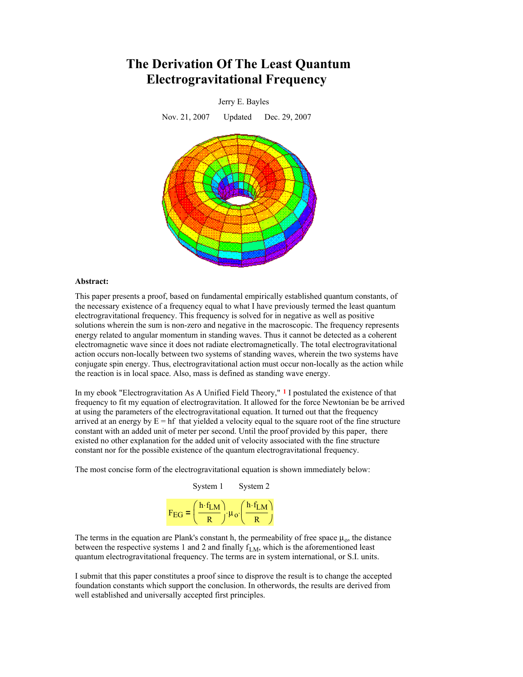# **The Derivation Of The Least Quantum Electrogravitational Frequency**



#### **Abstract:**

This paper presents a proof, based on fundamental empirically established quantum constants, of the necessary existence of a frequency equal to what I have previously termed the least quantum electrogravitational frequency. This frequency is solved for in negative as well as positive solutions wherein the sum is non-zero and negative in the macroscopic. The frequency represents energy related to angular momentum in standing waves. Thus it cannot be detected as a coherent electromagnetic wave since it does not radiate electromagnetically. The total electrogravitational action occurs non-locally between two systems of standing waves, wherein the two systems have conjugate spin energy. Thus, electrogravitational action must occur non-locally as the action while the reaction is in local space. Also, mass is defined as standing wave energy.

In my ebook "Electrogravitation As A Unified Field Theory," **1** I postulated the existence of that frequency to fit my equation of electrogravitation. It allowed for the force Newtonian be be arrived at using the parameters of the electrogravitational equation. It turned out that the frequency arrived at an energy by  $E = hf$  that yielded a velocity equal to the square root of the fine structure constant with an added unit of meter per second. Until the proof provided by this paper, there existed no other explanation for the added unit of velocity associated with the fine structure constant nor for the possible existence of the quantum electrogravitational frequency.

The most concise form of the electrogravitational equation is shown immediately below:

|                   | System 1   | System 2                        |
|-------------------|------------|---------------------------------|
| $F_{\text{EG}}$ = | $h f_{LM}$ | $(h.f_{LM})$<br>$\cdot \mu_{0}$ |

The terms in the equation are Plank's constant h, the permeability of free space  $\mu_0$ , the distance between the respective systems 1 and 2 and finally  $f_{LM}$ , which is the aforementioned least quantum electrogravitational frequency. The terms are in system international, or S.I. units.

I submit that this paper constitutes a proof since to disprove the result is to change the accepted foundation constants which support the conclusion. In otherwords, the results are derived from well established and universally accepted first principles.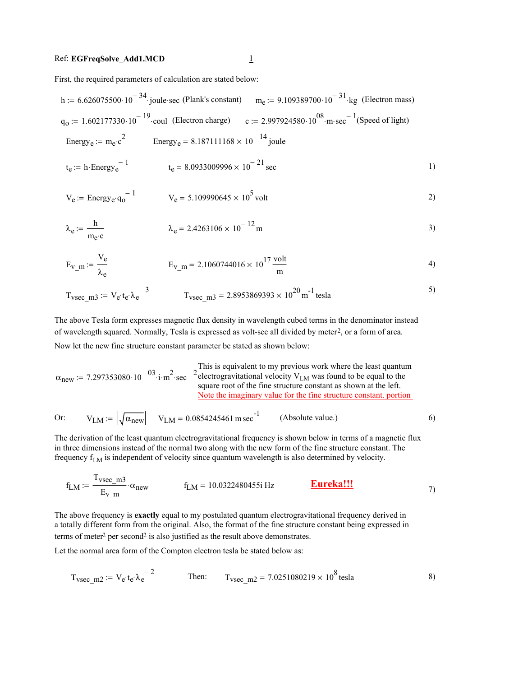## Ref: **EGFreqSolve\_Add1.MCD** 1

First, the required parameters of calculation are stated below:

h := 
$$
6.626075500 \cdot 10^{-34}
$$
 (joule-sec (Plank's constant)  $m_e$  :=  $9.109389700 \cdot 10^{-31}$  kg (Electron mass)  
\n $q_0$  :=  $1.602177330 \cdot 10^{-19}$  could (Electron charge)  $c$  :=  $2.997924580 \cdot 10^{08}$  m-sec<sup>-1</sup> (Speed of light)  
\nEnergy<sub>e</sub> :=  $m_e \cdot c^2$  Energy<sub>e</sub> =  $8.187111168 \times 10^{-14}$  joule  
\n $t_e$  =  $h$  Energy<sub>e</sub><sup>-1</sup>  $t_e$  =  $8.0933009996 \times 10^{-21}$  sec

$$
V_e := \text{Energy}_e \cdot q_0^{-1} \qquad V_e = 5.109990645 \times 10^5 \text{ volt} \tag{2}
$$

$$
\lambda_e := \frac{h}{m_e c} \qquad \lambda_e = 2.4263106 \times 10^{-12} m \qquad (3)
$$

$$
E_{V_m} = \frac{V_e}{\lambda_e}
$$
  $E_{V_m} = 2.1060744016 \times 10^{17} \frac{\text{volt}}{\text{m}}$  (4)

$$
T_{\text{vsec\_m3}} := V_{\text{e}} \cdot t_{\text{e}} \cdot \lambda_{\text{e}}^{-3} \qquad T_{\text{vsec\_m3}} = 2.8953869393 \times 10^{20} \text{ m}^{-1} \text{ tesla}
$$

The above Tesla form expresses magnetic flux density in wavelength cubed terms in the denominator instead of wavelength squared. Normally, Tesla is expressed as volt-sec all divided by meter2, or a form of area. Now let the new fine structure constant parameter be stated as shown below:

$$
\alpha_{\text{new}} := 7.297353080 \cdot 10^{-03} \cdot i \cdot m^2 \cdot \sec^{-2} \frac{\text{This is equivalent to my previous work where the least quantumelectrogravitational velocity VLM was found to be equal to thesquare root of the fine structure constant as shown at the left.Note the imaginary value for the fine structure constant, portion
$$

Or: 
$$
V_{LM} := \left| \sqrt{\alpha_{new}} \right|
$$
  $V_{LM} = 0.0854245461 \text{ m sec}^{-1}$  (Absolute value.)

The derivation of the least quantum electrogravitational frequency is shown below in terms of a magnetic flux in three dimensions instead of the normal two along with the new form of the fine structure constant. The frequency  $f_{LM}$  is independent of velocity since quantum wavelength is also determined by velocity.

$$
f_{LM} := \frac{T_{\text{vsec\_m3}}}{E_{\text{v}} \cdot \alpha_{\text{new}}} \cdot f_{LM} = 10.0322480455 \text{ i Hz} \qquad \frac{\text{Eureka!!}}{\text{Eureka!!}} \tag{7}
$$

The above frequency is **exactly** equal to my postulated quantum electrogravitational frequency derived in a totally different form from the original. Also, the format of the fine structure constant being expressed in terms of meter<sup>2</sup> per second<sup>2</sup> is also justified as the result above demonstrates.

Let the normal area form of the Compton electron tesla be stated below as:

$$
T_{\text{vsec\_m2}} := V_{e} t_{e} \lambda_{e}^{-2}
$$
 Then:  $T_{\text{vsec\_m2}} = 7.0251080219 \times 10^{8} \text{ tesla}$  8)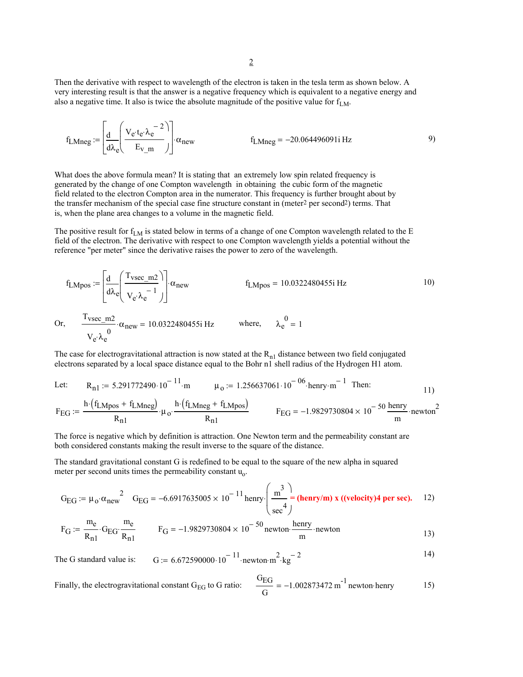Then the derivative with respect to wavelength of the electron is taken in the tesla term as shown below. A very interesting result is that the answer is a negative frequency which is equivalent to a negative energy and also a negative time. It also is twice the absolute magnitude of the positive value for  $f_{LM}$ .

$$
f_{LMneg} := \left[ \frac{d}{d\lambda_e} \left( \frac{V_e \cdot t_e \cdot \lambda_e^{-2}}{E_{V\_m}} \right) \right] \alpha_{new} \qquad f_{LMneg} = -20.064496091 \text{ i Hz} \qquad (9)
$$

What does the above formula mean? It is stating that an extremely low spin related frequency is generated by the change of one Compton wavelength in obtaining the cubic form of the magnetic field related to the electron Compton area in the numerator. This frequency is further brought about by the transfer mechanism of the special case fine structure constant in (meter<sup>2</sup> per second<sup>2</sup>) terms. That is, when the plane area changes to a volume in the magnetic field.

The positive result for  $f_{LM}$  is stated below in terms of a change of one Compton wavelength related to the E field of the electron. The derivative with respect to one Compton wavelength yields a potential without the reference "per meter" since the derivative raises the power to zero of the wavelength.

$$
f_{LMpos} := \left[\frac{d}{d\lambda_e} \left(\frac{T_{vsec\_m2}}{V_e \lambda_e^{-1}}\right)\right] \alpha_{new}
$$
  $f_{LMpos} = 10.0322480455i Hz$  10)  
Or, 
$$
\frac{T_{vsec\_m2}}{V_e \lambda_e} \cdot \alpha_{new} = 10.0322480455i Hz
$$
 where,  $\lambda_e^0 = 1$ 

The case for electrogravitational attraction is now stated at the  $R_{n1}$  distance between two field conjugated electrons separated by a local space distance equal to the Bohr n1 shell radius of the Hydrogen H1 atom.

Let: 
$$
R_{n1} := 5.291772490 \cdot 10^{-11} \cdot m
$$
  $\mu_0 := 1.256637061 \cdot 10^{-06} \cdot \text{henry} \cdot m^{-1}$  Then:  
\n
$$
F_{EG} := \frac{h \cdot (f_{LMpos} + f_{LMneg})}{R_{n1}} \cdot \mu_0 \cdot \frac{h \cdot (f_{LMneg} + f_{LMpos})}{R_{n1}}
$$
\n
$$
F_{EG} = -1.9829730804 \times 10^{-50} \frac{\text{henry}}{m} \cdot \text{nevton}^2
$$

The force is negative which by definition is attraction. One Newton term and the permeability constant are both considered constants making the result inverse to the square of the distance.

The standard gravitational constant G is redefined to be equal to the square of the new alpha in squared meter per second units times the permeability constant  $u_0$ .

$$
G_{EG} := \mu_0 \cdot \alpha_{new}^2 \quad G_{EG} = -6.6917635005 \times 10^{-11} \text{ henry} \cdot \left(\frac{m^3}{\text{sec}^4}\right) = (\text{henry/m}) \cdot x \cdot ((\text{velocity})^4 \text{ per sec}). \quad 12)
$$

$$
F_G := \frac{m_e}{R_{n1}} \cdot G_{EG} \cdot \frac{m_e}{R_{n1}} \qquad F_G = -1.9829730804 \times 10^{-50} \text{ newton} \cdot \frac{\text{henry}}{\text{m}} \cdot \text{newton} \qquad (13)
$$

The G standard value is: 
$$
G := 6.672590000 \cdot 10^{-11} \cdot \text{newton} \cdot \text{m}^2 \cdot \text{kg}^{-2}
$$

Finally, the electrogravitational constant  $G_{EG}$  to G ratio:  $rac{G_{\text{EG}}}{G}$  = -1.002873472 m<sup>-1</sup> newton henry 15)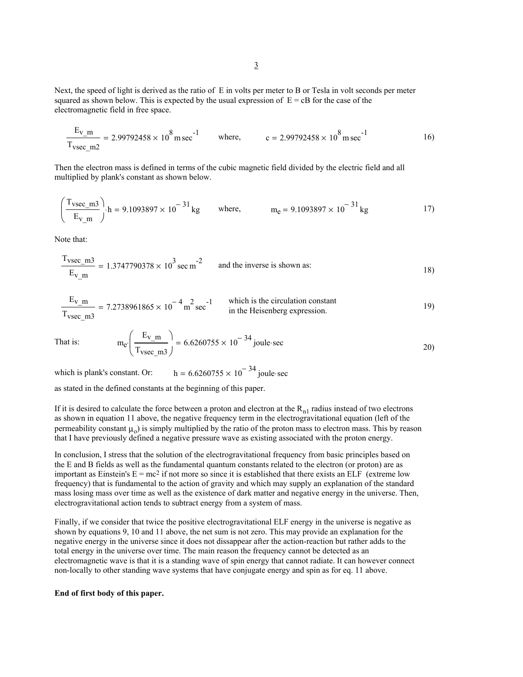Next, the speed of light is derived as the ratio of E in volts per meter to B or Tesla in volt seconds per meter squared as shown below. This is expected by the usual expression of  $E = cB$  for the case of the electromagnetic field in free space.

$$
\frac{E_{v\_m}}{T_{vsec\_m2}} = 2.99792458 \times 10^8 \text{ m sec}^{-1} \qquad \text{where,} \qquad c = 2.99792458 \times 10^8 \text{ m sec}^{-1} \qquad 16)
$$

Then the electron mass is defined in terms of the cubic magnetic field divided by the electric field and all multiplied by plank's constant as shown below.

$$
\left(\frac{T_{\text{vsec\_m3}}}{E_{\text{v\_m}}}\right) \cdot h = 9.1093897 \times 10^{-31} \,\text{kg} \qquad \text{where,} \qquad m_e = 9.1093897 \times 10^{-31} \,\text{kg} \tag{17}
$$

Note that:

$$
\frac{T_{\text{vsec\_m3}}}{E_{\text{v\_m}}} = 1.3747790378 \times 10^3 \text{ sec m}^{-2}
$$
 and the inverse is shown as:

$$
\frac{E_{v\_m}}{T_{\text{vsec } m3}} = 7.2738961865 \times 10^{-4} \text{ m}^2 \text{ sec}^{-1}
$$
 which is the circulation constant  
in the Heisenberg expression.

That is: 
$$
m_e \left( \frac{E_{v\_m}}{T_{vsec\_m3}} \right) = 6.6260755 \times 10^{-34} \text{ joule-sec}
$$

which is plank's constant. Or:  $h = 6.6260755 \times 10^{-34}$  joule sec

as stated in the defined constants at the beginning of this paper.

If it is desired to calculate the force between a proton and electron at the  $R_{n1}$  radius instead of two electrons as shown in equation 11 above, the negative frequency term in the electrogravitational equation (left of the permeability constant  $\mu_0$ ) is simply multiplied by the ratio of the proton mass to electron mass. This by reason that I have previously defined a negative pressure wave as existing associated with the proton energy.

In conclusion, I stress that the solution of the electrogravitational frequency from basic principles based on the E and B fields as well as the fundamental quantum constants related to the electron (or proton) are as important as Einstein's  $E = mc^2$  if not more so since it is established that there exists an ELF (extreme low frequency) that is fundamental to the action of gravity and which may supply an explanation of the standard mass losing mass over time as well as the existence of dark matter and negative energy in the universe. Then, electrogravitational action tends to subtract energy from a system of mass.

Finally, if we consider that twice the positive electrogravitational ELF energy in the universe is negative as shown by equations 9, 10 and 11 above, the net sum is not zero. This may provide an explanation for the negative energy in the universe since it does not dissappear after the action-reaction but rather adds to the total energy in the universe over time. The main reason the frequency cannot be detected as an electromagnetic wave is that it is a standing wave of spin energy that cannot radiate. It can however connect non-locally to other standing wave systems that have conjugate energy and spin as for eq. 11 above.

### **End of first body of this paper.**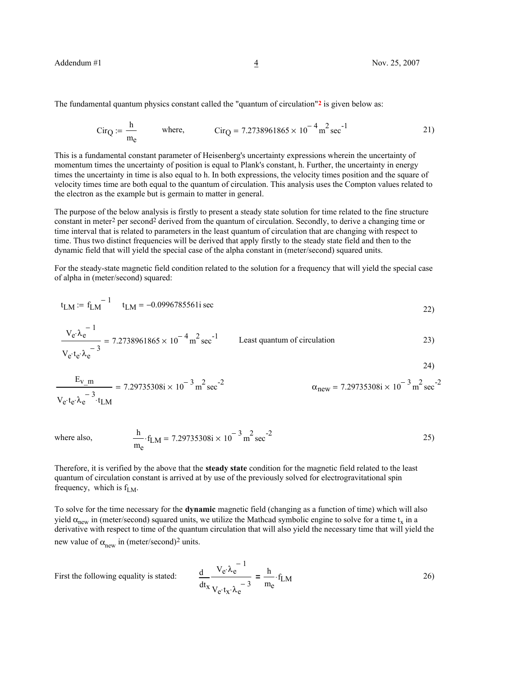24)

The fundamental quantum physics constant called the "quantum of circulation"**2** is given below as:

$$
Cir_Q := \frac{h}{m_e}
$$
 where,  $Cir_Q = 7.2738961865 \times 10^{-4} \text{ m}^2 \text{ sec}^{-1}$  21)

This is a fundamental constant parameter of Heisenberg's uncertainty expressions wherein the uncertainty of momentum times the uncertainty of position is equal to Plank's constant, h. Further, the uncertainty in energy times the uncertainty in time is also equal to h. In both expressions, the velocity times position and the square of velocity times time are both equal to the quantum of circulation. This analysis uses the Compton values related to the electron as the example but is germain to matter in general.

The purpose of the below analysis is firstly to present a steady state solution for time related to the fine structure constant in meter2 per second2 derived from the quantum of circulation. Secondly, to derive a changing time or time interval that is related to parameters in the least quantum of circulation that are changing with respect to time. Thus two distinct frequencies will be derived that apply firstly to the steady state field and then to the dynamic field that will yield the special case of the alpha constant in (meter/second) squared units.

For the steady-state magnetic field condition related to the solution for a frequency that will yield the special case of alpha in (meter/second) squared:

$$
t_{LM} := f_{LM}^{-1}
$$
  $t_{LM} = -0.0996785561$  sec

$$
\frac{V_e \lambda_e^{-1}}{V_e t_e \lambda_e^{-3}} = 7.2738961865 \times 10^{-4} \text{ m}^2 \text{ sec}^{-1}
$$
 Least quantum of circulation  
23)

$$
\frac{E_{v\_m}}{V_e \cdot t_e \cdot \lambda_e^{-3} \cdot t_{LM}} = 7.29735308i \times 10^{-3} \, \text{m}^2 \, \text{sec}^{-2} \qquad \qquad \alpha_{\text{new}} = 7.29735308i \times 10^{-3} \, \text{m}^2 \, \text{sec}^{-2}
$$

 $\frac{h}{25}$ . f<sub>IM</sub> = 7.29735308i × 10<sup>-3</sup> m<sup>2</sup> sec<sup>-2</sup> 25) me where also,  $\frac{h}{m}$  · f<sub>LM</sub> = 7.29735308i × 10<sup>-3</sup> m<sup>2</sup> sec<sup>-2</sup>

Therefore, it is verified by the above that the **steady state** condition for the magnetic field related to the least quantum of circulation constant is arrived at by use of the previously solved for electrogravitational spin frequency, which is  $f_{LM}$ .

To solve for the time necessary for the **dynamic** magnetic field (changing as a function of time) which will also yield  $\alpha_{\text{new}}$  in (meter/second) squared units, we utilize the Mathcad symbolic engine to solve for a time t<sub>x</sub> in a derivative with respect to time of the quantum circulation that will also yield the necessary time that will yield the new value of  $\alpha_{\text{new}}$  in (meter/second)<sup>2</sup> units.

First the following equality is stated:

$$
\frac{d}{dt_x} \frac{V_e \lambda_e^{-1}}{V_e \cdot t_x \cdot \lambda_e^{-3}} = \frac{h}{m_e} \cdot f_{LM}
$$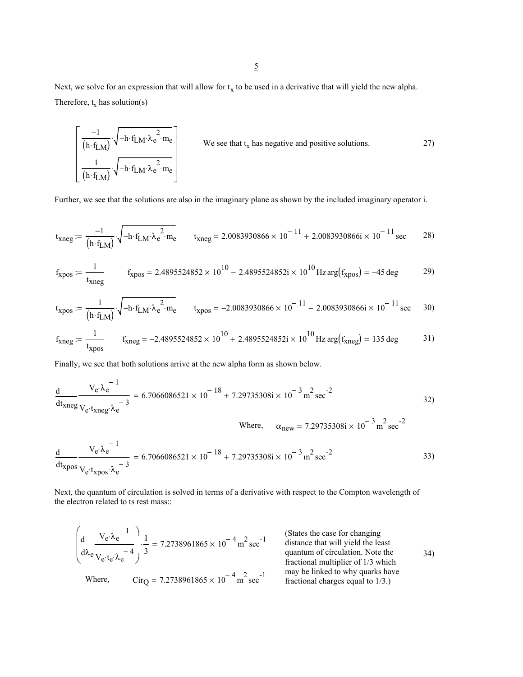Next, we solve for an expression that will allow for  $t_x$  to be used in a derivative that will yield the new alpha. Therefore,  $t_x$  has solution(s)

$$
\left[\frac{-1}{\left(\mathbf{h} \cdot \mathbf{f}_{LM}\right)} \cdot \sqrt{-\mathbf{h} \cdot \mathbf{f}_{LM} \cdot \lambda_e^2 \cdot \mathbf{m}_e} \right]
$$
\nWe see that  $t_x$  has negative and positive solutions.  
\n
$$
\left[\frac{1}{\left(\mathbf{h} \cdot \mathbf{f}_{LM}\right)} \cdot \sqrt{-\mathbf{h} \cdot \mathbf{f}_{LM} \cdot \lambda_e^2 \cdot \mathbf{m}_e}\right]
$$

Further, we see that the solutions are also in the imaginary plane as shown by the included imaginary operator i.

$$
t_{xneg} := \frac{-1}{(h \cdot f_{LM})} \cdot \sqrt{-h \cdot f_{LM} \cdot \lambda_e^2 \cdot m_e}
$$
  

$$
t_{xneg} = 2.0083930866 \times 10^{-11} + 2.0083930866 \times 10^{-11} \text{ sec}
$$
 28)

$$
f_{\text{xpos}} := \frac{1}{t_{\text{xneg}}} \qquad f_{\text{xpos}} = 2.4895524852 \times 10^{10} - 2.4895524852 \text{i} \times 10^{10} \text{ Hz arg}(f_{\text{xpos}}) = -45 \text{ deg} \qquad 29)
$$

$$
t_{\text{xpos}} := \frac{1}{\left(h \cdot f_{\text{LM}}\right)} \cdot \sqrt{-h \cdot f_{\text{LM}} \cdot \lambda_e^2 \cdot m_e}
$$
\n
$$
t_{\text{xpos}} = -2.0083930866 \times 10^{-11} - 2.0083930866i \times 10^{-11} \text{ sec}
$$
\n
$$
30)
$$

$$
f_{\text{Xneg}} := \frac{1}{t_{\text{Xpos}}} \qquad f_{\text{Xneg}} = -2.4895524852 \times 10^{10} + 2.4895524852 \text{i} \times 10^{10} \text{ Hz arg}(f_{\text{Xneg}}) = 135 \text{ deg} \qquad 31)
$$

Finally, we see that both solutions arrive at the new alpha form as shown below.

$$
\frac{d}{dt_{\text{Xneg}}} \frac{V_e \lambda_e^{-1}}{V_e \cdot t_{\text{Xneg}} \lambda_e^{-3}} = 6.7066086521 \times 10^{-18} + 7.29735308i \times 10^{-3} \text{ m}^2 \text{ sec}^{-2}
$$
 32)

Where, 
$$
\alpha_{\text{new}} = 7.29735308i \times 10^{-3} \text{ m}^2 \text{ sec}^{-2}
$$

$$
\frac{d}{dt_{\text{Xpos}}} \frac{V_e \lambda_e^{-1}}{V_e \cdot t_{\text{Xpos}} \cdot \lambda_e^{-3}} = 6.7066086521 \times 10^{-18} + 7.29735308i \times 10^{-3} \text{ m}^2 \text{ sec}^{-2}
$$
 33)

Next, the quantum of circulation is solved in terms of a derivative with respect to the Compton wavelength of the electron related to ts rest mass::

$$
\left(\frac{d}{d\lambda_e} \frac{V_e \cdot \lambda_e^{-1}}{V_e \cdot t_e \cdot \lambda_e^{-4}}\right) \cdot \frac{1}{3} = 7.2738961865 \times 10^{-4} \text{ m}^2 \text{ sec}^{-1}
$$
\n(States the case for changing distance that will yield the least quantum of circulation. Note the fractional multiplier of 1/3 which fractional nulltplier of 1/3 which may be linked to why quarks have fractional charges equal to 1/3.)\n(34)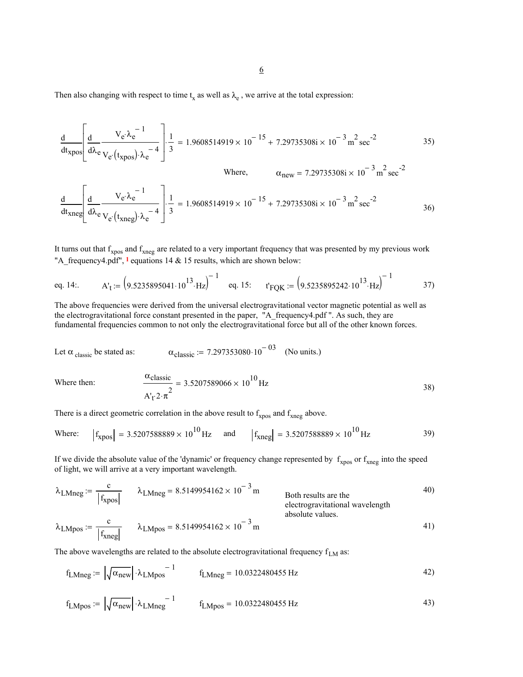Then also changing with respect to time  $t_x$  as well as  $\lambda_e$ , we arrive at the total expression:

$$
\frac{d}{dt_{\text{xpos}}} \left[ \frac{d}{d\lambda_e} \frac{V_e \lambda_e^{-1}}{V_e(t_{\text{xpos}}) \lambda_e^{-4}} \right] \frac{1}{3} = 1.9608514919 \times 10^{-15} + 7.29735308i \times 10^{-3} \text{ m}^2 \text{ sec}^{-2}
$$
 35)

$$
\text{Where,} \qquad \alpha_{\text{new}} = 7.29735308i \times 10^{-3} \text{ m}^2 \text{ sec}^{-2}
$$
\n
$$
\frac{d}{dt_{\text{xneg}}} \left[ \frac{d}{d\lambda_e} \frac{V_e \lambda_e^{-1}}{V_e \cdot (t_{\text{xneg}}) \cdot \lambda_e^{-4}} \right] \cdot \frac{1}{3} = 1.9608514919 \times 10^{-15} + 7.29735308i \times 10^{-3} \text{ m}^2 \text{ sec}^{-2}
$$
\n
$$
36)
$$

It turns out that  $f_{xpos}$  and  $f_{xneg}$  are related to a very important frequency that was presented by my previous work "A\_frequency4.pdf", **1** equations 14 & 15 results, which are shown below:

eq. 14:. 
$$
A'_t := (9.5235895041 \cdot 10^{13} \cdot Hz)^{-1}
$$
 eq. 15:  $t'_{\text{FQK}} := (9.5235895242 \cdot 10^{13} \cdot Hz)^{-1}$  37)

The above frequencies were derived from the universal electrogravitational vector magnetic potential as well as the electrogravitational force constant presented in the paper, "A\_frequency4.pdf ". As such, they are fundamental frequencies common to not only the electrogravitational force but all of the other known forces.

Let 
$$
\alpha_{\text{ classic}}
$$
 be stated as:  $\alpha_{\text{classic}} := 7.297353080 \cdot 10^{-03}$  (No units.)

Where then:

$$
\frac{\alpha_{\text{classic}}}{A_{\text{T}}^2 2 \cdot \pi^2} = 3.5207589066 \times 10^{10} \,\text{Hz}
$$

There is a direct geometric correlation in the above result to  $f_{xpos}$  and  $f_{xneg}$  above.

Where: 
$$
|f_{xpos}| = 3.5207588889 \times 10^{10} \text{ Hz}
$$
 and  $|f_{xneg}| = 3.5207588889 \times 10^{10} \text{ Hz}$  39)

If we divide the absolute value of the 'dynamic' or frequency change represented by  $f_{xpos}$  or  $f_{xneg}$  into the speed of light, we will arrive at a very important wavelength.

$$
\lambda_{LMneg} := \frac{c}{|f_{xpos}|} \qquad \lambda_{LMneg} = 8.5149954162 \times 10^{-3} \text{ m}
$$
Both results are the  
electrogravitational wavelength  
absolute values.

$$
\lambda_{\text{LMpos}} := \frac{c}{|f_{\text{Xneg}}|} \qquad \lambda_{\text{LMpos}} = 8.5149954162 \times 10^{-3} \text{ m} \tag{41}
$$

The above wavelengths are related to the absolute electrogravitational frequency  $f_{LM}$  as:

$$
f_{\text{LMneg}} := \left| \sqrt{\alpha_{\text{new}}} \right| \cdot \lambda_{\text{LMpos}}^{-1} \qquad f_{\text{LMneg}} = 10.0322480455 \text{ Hz} \tag{42}
$$

$$
f_{LMpos} := \left| \sqrt{\alpha_{new}} \right| \cdot \lambda_{LMneg}^{-1} \qquad f_{LMpos} = 10.0322480455 \text{ Hz}
$$